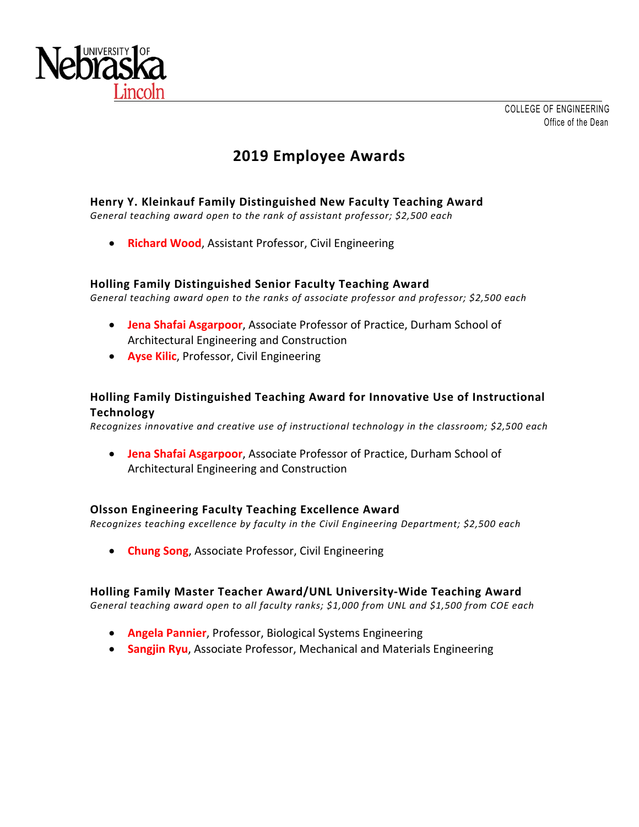

# **2019 Employee Awards**

# **Henry Y. Kleinkauf Family Distinguished New Faculty Teaching Award**

*General teaching award open to the rank of assistant professor; \$2,500 each* 

**• Richard Wood, Assistant Professor, Civil Engineering** 

#### **Holling Family Distinguished Senior Faculty Teaching Award**

*General teaching award open to the ranks of associate professor and professor; \$2,500 each* 

- **Jena Shafai Asgarpoor**, Associate Professor of Practice, Durham School of Architectural Engineering and Construction
- **Ayse Kilic**, Professor, Civil Engineering

# **Holling Family Distinguished Teaching Award for Innovative Use of Instructional Technology**

*Recognizes innovative and creative use of instructional technology in the classroom; \$2,500 each* 

 **Jena Shafai Asgarpoor**, Associate Professor of Practice, Durham School of Architectural Engineering and Construction

## **Olsson Engineering Faculty Teaching Excellence Award**

*Recognizes teaching excellence by faculty in the Civil Engineering Department; \$2,500 each* 

**Chung Song**, Associate Professor, Civil Engineering

#### **Holling Family Master Teacher Award/UNL University‐Wide Teaching Award**

*General teaching award open to all faculty ranks; \$1,000 from UNL and \$1,500 from COE each* 

- **Angela Pannier**, Professor, Biological Systems Engineering
- **Sangjin Ryu**, Associate Professor, Mechanical and Materials Engineering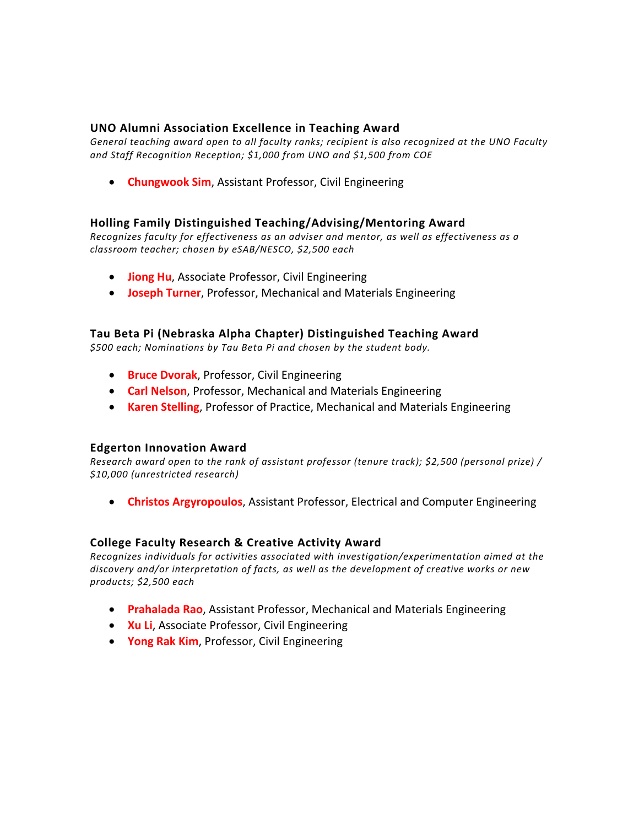## **UNO Alumni Association Excellence in Teaching Award**

*General teaching award open to all faculty ranks; recipient is also recognized at the UNO Faculty and Staff Recognition Reception; \$1,000 from UNO and \$1,500 from COE* 

**Chungwook Sim, Assistant Professor, Civil Engineering** 

#### **Holling Family Distinguished Teaching/Advising/Mentoring Award**

*Recognizes faculty for effectiveness as an adviser and mentor, as well as effectiveness as a classroom teacher; chosen by eSAB/NESCO, \$2,500 each* 

- **Jiong Hu**, Associate Professor, Civil Engineering
- **Joseph Turner**, Professor, Mechanical and Materials Engineering

#### **Tau Beta Pi (Nebraska Alpha Chapter) Distinguished Teaching Award**

*\$500 each; Nominations by Tau Beta Pi and chosen by the student body.* 

- **Bruce Dvorak**, Professor, Civil Engineering
- **Carl Nelson**, Professor, Mechanical and Materials Engineering
- **Karen Stelling**, Professor of Practice, Mechanical and Materials Engineering

#### **Edgerton Innovation Award**

*Research award open to the rank of assistant professor (tenure track); \$2,500 (personal prize) / \$10,000 (unrestricted research)* 

**Christos Argyropoulos**, Assistant Professor, Electrical and Computer Engineering

#### **College Faculty Research & Creative Activity Award**

*Recognizes individuals for activities associated with investigation/experimentation aimed at the discovery and/or interpretation of facts, as well as the development of creative works or new products; \$2,500 each* 

- **Prahalada Rao**, Assistant Professor, Mechanical and Materials Engineering
- **Ku Li**, Associate Professor, Civil Engineering
- **Yong Rak Kim**, Professor, Civil Engineering